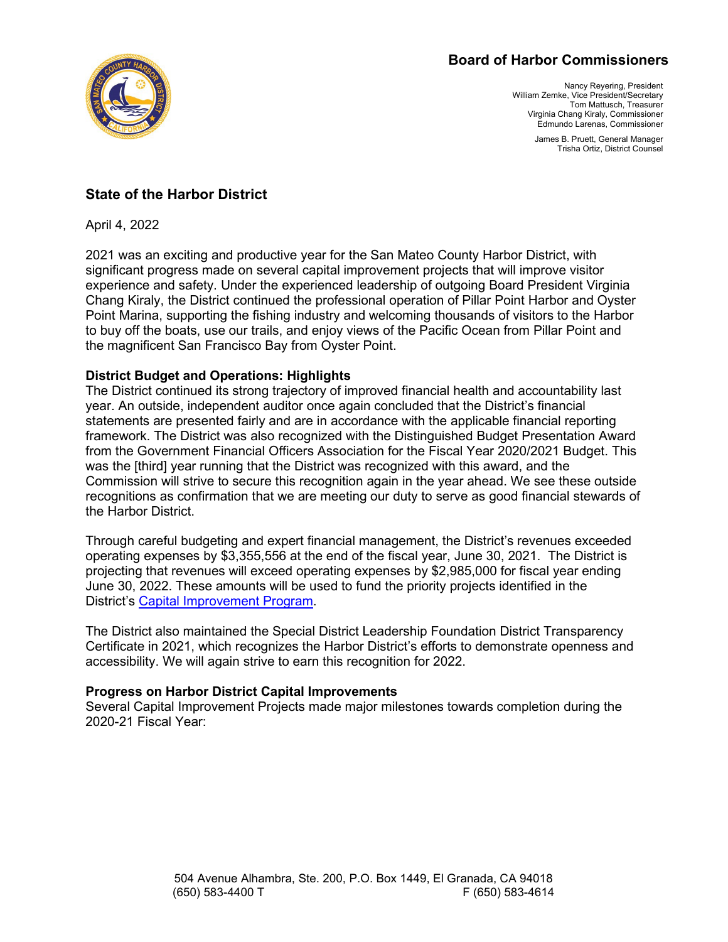## **Board of Harbor Commissioners**



Nancy Reyering, President William Zemke, Vice President/Secretary Tom Mattusch, Treasurer Virginia Chang Kiraly, Commissioner Edmundo Larenas, Commissioner

> James B. Pruett, General Manager Trisha Ortiz, District Counsel

# **State of the Harbor District**

April 4, 2022

2021 was an exciting and productive year for the San Mateo County Harbor District, with significant progress made on several capital improvement projects that will improve visitor experience and safety. Under the experienced leadership of outgoing Board President Virginia Chang Kiraly, the District continued the professional operation of Pillar Point Harbor and Oyster Point Marina, supporting the fishing industry and welcoming thousands of visitors to the Harbor to buy off the boats, use our trails, and enjoy views of the Pacific Ocean from Pillar Point and the magnificent San Francisco Bay from Oyster Point.

## **District Budget and Operations: Highlights**

The District continued its strong trajectory of improved financial health and accountability last year. An outside, independent auditor once again concluded that the District's financial statements are presented fairly and are in accordance with the applicable financial reporting framework. The District was also recognized with the Distinguished Budget Presentation Award from the Government Financial Officers Association for the Fiscal Year 2020/2021 Budget. This was the [third] year running that the District was recognized with this award, and the Commission will strive to secure this recognition again in the year ahead. We see these outside recognitions as confirmation that we are meeting our duty to serve as good financial stewards of the Harbor District.

Through careful budgeting and expert financial management, the District's revenues exceeded operating expenses by \$3,355,556 at the end of the fiscal year, June 30, 2021. The District is projecting that revenues will exceed operating expenses by \$2,985,000 for fiscal year ending June 30, 2022. These amounts will be used to fund the priority projects identified in the District's [Capital Improvement Program.](https://www.smharbor.com/files/bd11444d5/2022-23+Draft+Budget.pdf)

The District also maintained the Special District Leadership Foundation District Transparency Certificate in 2021, which recognizes the Harbor District's efforts to demonstrate openness and accessibility. We will again strive to earn this recognition for 2022.

### **Progress on Harbor District Capital Improvements**

Several Capital Improvement Projects made major milestones towards completion during the 2020-21 Fiscal Year: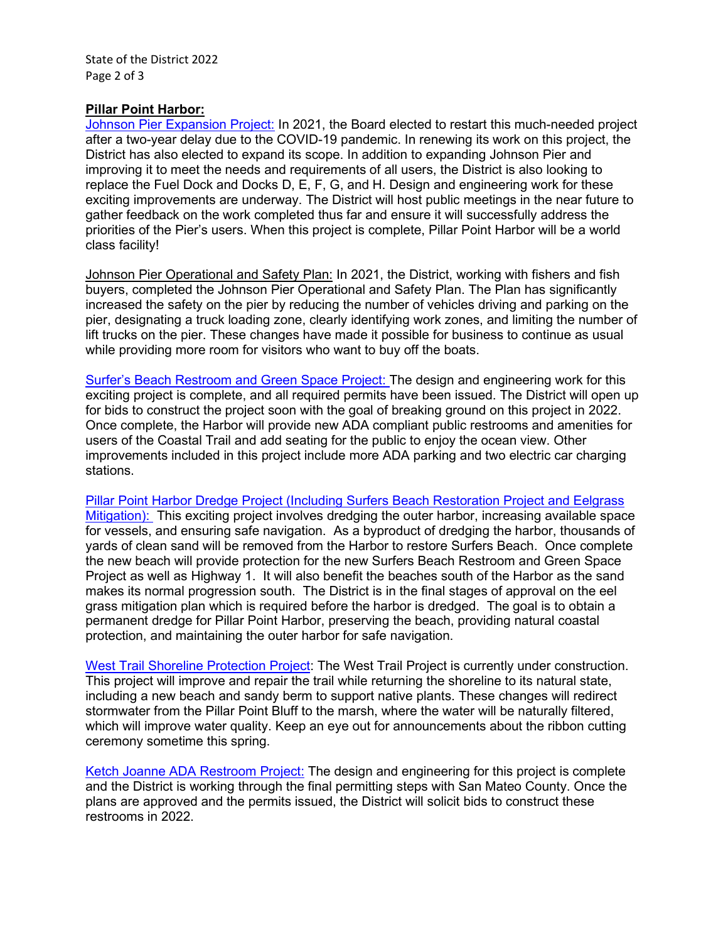### **Pillar Point Harbor:**

[Johnson Pier Expansion Project:](https://www.smharbor.com/johnson-pier-reconfiguration-vessel-dock-fuel-dock-replacement) In 2021, the Board elected to restart this much-needed project after a two-year delay due to the COVID-19 pandemic. In renewing its work on this project, the District has also elected to expand its scope. In addition to expanding Johnson Pier and improving it to meet the needs and requirements of all users, the District is also looking to replace the Fuel Dock and Docks D, E, F, G, and H. Design and engineering work for these exciting improvements are underway. The District will host public meetings in the near future to gather feedback on the work completed thus far and ensure it will successfully address the priorities of the Pier's users. When this project is complete, Pillar Point Harbor will be a world class facility!

Johnson Pier Operational and Safety Plan: In 2021, the District, working with fishers and fish buyers, completed the Johnson Pier Operational and Safety Plan. The Plan has significantly increased the safety on the pier by reducing the number of vehicles driving and parking on the pier, designating a truck loading zone, clearly identifying work zones, and limiting the number of lift trucks on the pier. These changes have made it possible for business to continue as usual while providing more room for visitors who want to buy off the boats.

Surfer's Beach [Restroom and Green Space Project:](https://www.smharbor.com/pillar-point-rv-park-public-restroom-and-green-space-improvement-project) The design and engineering work for this exciting project is complete, and all required permits have been issued. The District will open up for bids to construct the project soon with the goal of breaking ground on this project in 2022. Once complete, the Harbor will provide new ADA compliant public restrooms and amenities for users of the Coastal Trail and add seating for the public to enjoy the ocean view. Other improvements included in this project include more ADA parking and two electric car charging stations.

[Pillar Point Harbor Dredge Project \(Including Surfers Beach Restoration Project](https://www.smharbor.com/surfers-beach-restoration) and Eelgrass [Mitigation\):](https://www.smharbor.com/surfers-beach-restoration) This exciting project involves dredging the outer harbor, increasing available space for vessels, and ensuring safe navigation. As a byproduct of dredging the harbor, thousands of yards of clean sand will be removed from the Harbor to restore Surfers Beach. Once complete the new beach will provide protection for the new Surfers Beach Restroom and Green Space Project as well as Highway 1. It will also benefit the beaches south of the Harbor as the sand makes its normal progression south. The District is in the final stages of approval on the eel grass mitigation plan which is required before the harbor is dredged. The goal is to obtain a permanent dredge for Pillar Point Harbor, preserving the beach, providing natural coastal protection, and maintaining the outer harbor for safe navigation.

[West Trail Shoreline Protection Project:](https://www.smharbor.com/west-trail-shoreline-project) The West Trail Project is currently under construction. This project will improve and repair the trail while returning the shoreline to its natural state, including a new beach and sandy berm to support native plants. These changes will redirect stormwater from the Pillar Point Bluff to the marsh, where the water will be naturally filtered, which will improve water quality. Keep an eye out for announcements about the ribbon cutting ceremony sometime this spring.

[Ketch Joanne ADA Restroom Project:](https://www.smharbor.com/tenant-row-ketch-joanne-restroom) The design and engineering for this project is complete and the District is working through the final permitting steps with San Mateo County. Once the plans are approved and the permits issued, the District will solicit bids to construct these restrooms in 2022.